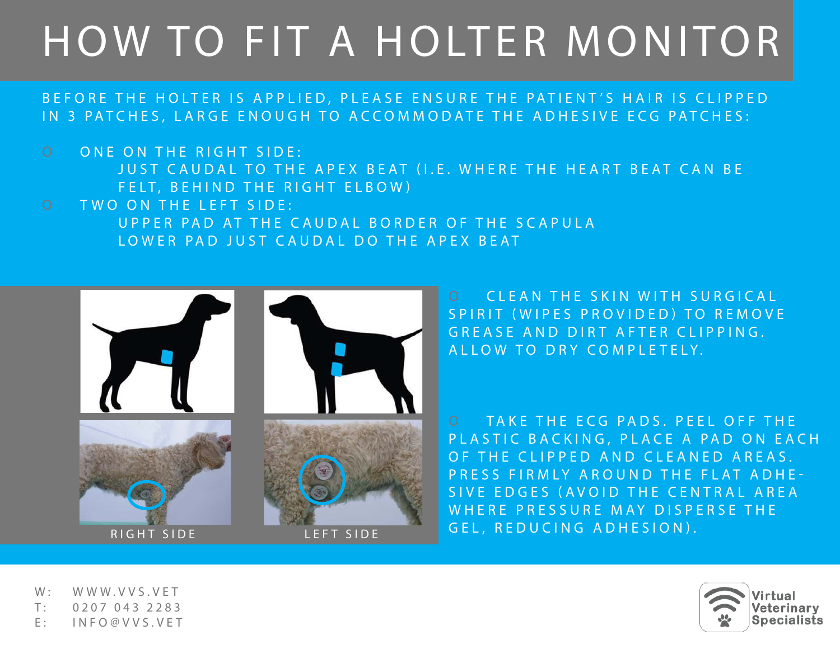# HOW TO FIT A HOLTER MONITOR

## BEFORE THE HOLTER IS APPLIED, PLEASE ENSURE THE PATIENT'S HAIR IS CLIPPED IN 3 PATCHES, LARGE ENOUGH TO ACCOMMODATE THE ADHESIVE ECG PATCHES:

O ONE ON THE RIGHT SIDE: JUST CAUDAL TO THE APEX BEAT (I.E. WHERE THE HEART BEAT CAN BE FELT, BEHIND THE RIGHT ELBOW) O TWO ON THE LEFT SIDE: UPPER PAD AT THE CAUDAL BORDER OF THE SCAPULA

LOWER PAD JUST CAUDAL DO THE APEX BEAT



O CLEAN THE SKIN WITH SURGICAL SPIRIT (WIPES PROVIDED) TO REMOVE GREASE AND DIRT AFTER CLIPPING. A L L O W T O D R Y C O M P L E T E L Y.

O TAKE THE ECG PADS. PEEL OFF THE PLASTIC BACKING, PLACE A PAD ON EACH OF THE CLIPPED AND CLEANED AREAS. PRESS FIRMLY AROUND THE FLAT ADHE-SIVE EDGES (AVOID THE CENTRAL AREA WHERE PRESSURE MAY DISPERSE THE GEL, REDUCING ADHESION).

W: WWW.VVS.VET T: 0207 043 2283 E: INFO@VVS.VET

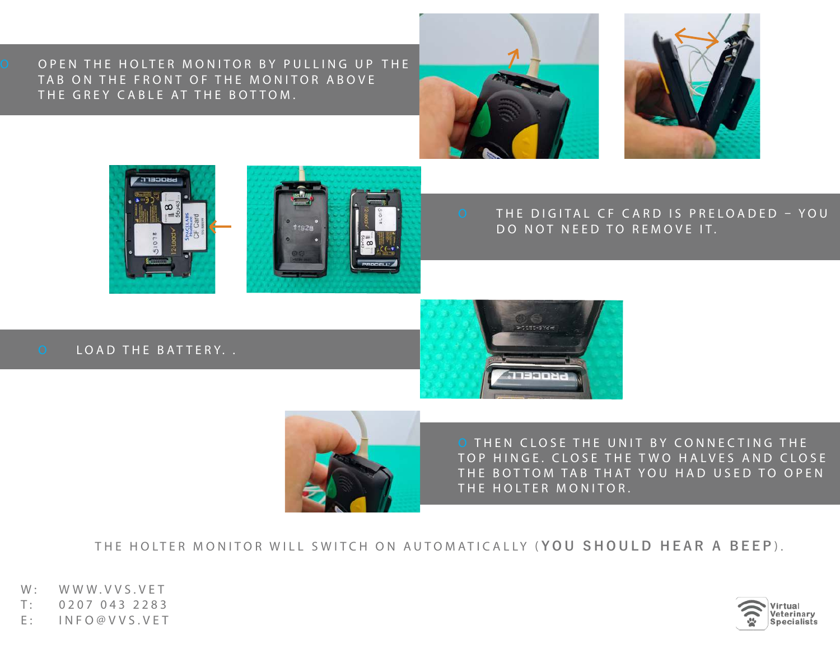O OPEN THE HOLTER MONITOR BY PULLING UP THE TAB ON THE FRONT OF THE MONITOR ABOVE THE GREY CABLE AT THE BOTTOM.









#### O THE DIGITAL CF CARD IS PRELOADED – YOU DO NOT NEED TO REMOVE IT.

O LOAD THE BATTERY..

I

I





O THEN CLOSE THE UNIT BY CONNECTING THE TOP HINGE. CLOSE THE TWO HALVES AND CLOSE THE BOTTOM TAB THAT YOU HAD USED TO OPEN THE HOLTER MONITOR.

THE HOLTER MONITOR WILL SWITCH ON AUTOMATICALLY ( **YOU SHOULD HEAR A BEEP** ) .

W: WWW.VVS.VET T: 0207 043 2283 E: INFO@VVS.VET

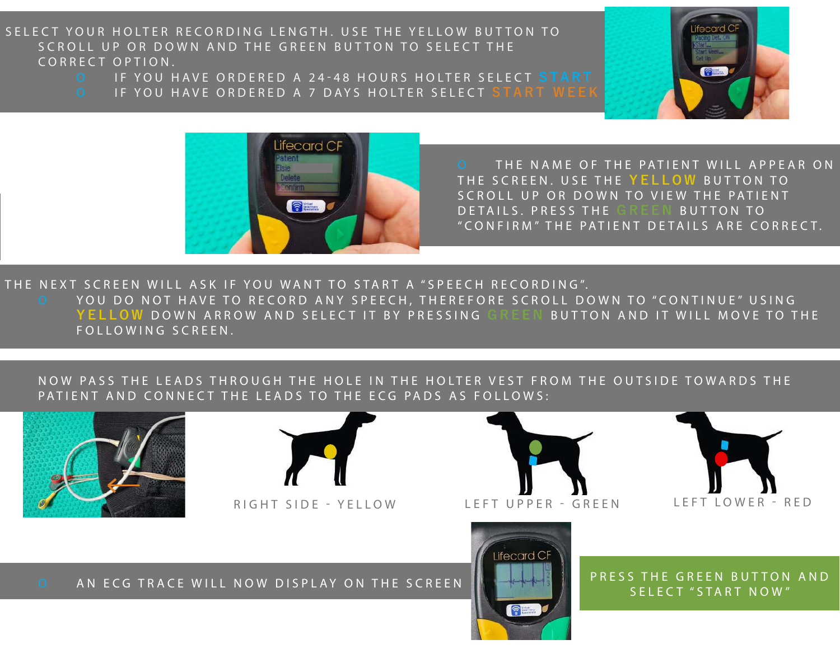SELECT YOUR HOLTER RECORDING LENGTH. USE THE YELLOW BUTTON TO SCROLL UP OR DOWN AND THE GREEN BUTTON TO SELECT THE CORRECT OPTION.

- O IF YOU HAVE ORDERED A 24-48 HOURS HOLTER SELEC T **START**
- O IF YOU HAVE ORDERED A 7 DAYS HOLTER SELECT **START WEEK**





I

O THE NAME OF THE PATIENT WILL APPEAR ON THE SCREEN. USE THE **YELLOW** BUTTON TO SCROLL UP OR DOWN TO VIEW THE PATIENT DETAILS. PRESS THE GREEN BUTTON TO "CONFIRM" THE PATIENT DE TAILS ARE CORREC T.

THE NEXT SCREEN WILL ASK IF YOU WANT TO START A "SPEECH RECORDING". O YOU DO NOT HAVE TO RECORD ANY SPEECH, THEREFORE SCROLL DOWN TO "CONTINUE" USING  **YELLOW** DOWN ARROW AND SELECT IT BY PRESSING **GREEN** BUTTON AND IT WILL MOVE TO THE FOLLOWING SCREEN.

### NOW PASS THE LEADS THROUGH THE HOLE IN THE HOLTER VEST FROM THE OUTSIDE TOWARDS THE PATIENT AND CONNECT THE LEADS TO THE ECG PADS AS FOLLOWS:

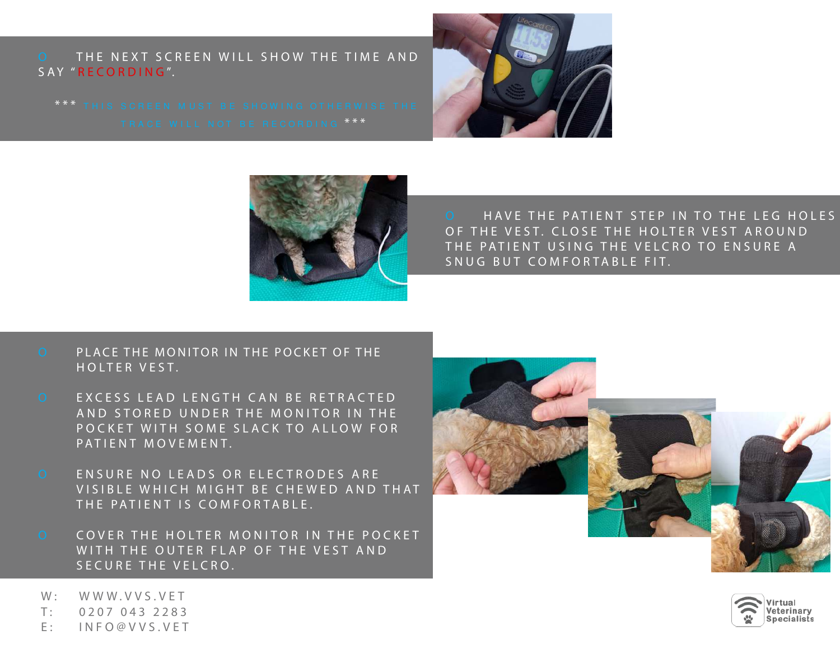O THE NEXT SCREEN WILL SHOW THE TIME AND SAY "RECORDING".





O HAVE THE PATIENT STEP IN TO THE LEG HOLES OF THE VEST. CLOSE THE HOLTER VEST AROUND THE PATIENT USING THE VELCRO TO ENSURE A SNUG BUT COMFORTABLE FIT.

- O PLACE THE MONITOR IN THE POCKET OF THE HOLTER VEST.
- O EXCESS LEAD LENGTH CAN BE RETRACTED AND STORED UNDER THE MONITOR IN THE POCKET WITH SOME SLACK TO ALLOW FOR PATIENT MOVEMENT.
- O ENSURE NO LEADS OR ELECTRODES ARE VISIBLE WHICH MIGHT BE CHEWED AND THAT THE PATIENT IS COMFORTABLE.
- O COVER THE HOLTER MONITOR IN THE POCKET WITH THE OUTER FLAP OF THE VEST AND SECURE THE VELCRO.





W: WWW.VVS.VET

I

I

- T: 0207 043 2283
- E: INFO@VVS.VET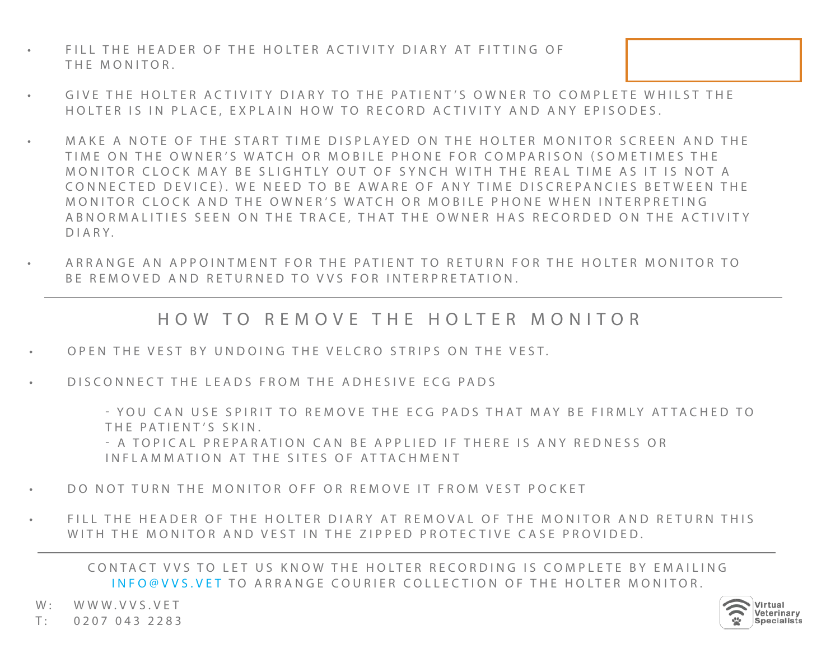- FILL THE HEADER OF THE HOLTER ACTIVITY DIARY AT FITTING OF THE MONITOR.
- GIVE THE HOLTER ACTIVITY DIARY TO THE PATIENT'S OWNER TO COMPLETE WHILST THE HOLTER IS IN PLACE, EXPLAIN HOW TO RECORD ACTIVITY AND ANY EPISODES.
- MAKE A NOTE OF THE START TIME DISPLAYED ON THE HOLTER MONITOR SCREEN AND THE TIME ON THE OWNER'S WATCH OR MOBILE PHONE FOR COMPARISON (SOMETIMES THE MONITOR CLOCK MAY BE SLIGHTLY OUT OF SYNCH WITH THE REAL TIME AS IT IS NOT A CONNEC TED DEVICE). WE NEED TO BE AWARE OF ANY TIME DISCREPANCIES BET WEEN THE MONITOR CLOCK AND THE OWNER'S WATCH OR MOBILE PHONE WHEN INTERPRETING ABNORMALITIES SEEN ON THE TRACE, THAT THE OWNER HAS RECORDED ON THE ACTIVITY DIARY.
- ARRANGE AN APPOINTMENT FOR THE PATIENT TO RETURN FOR THE HOLTER MONITOR TO BE REMOVED AND RETURNED TO VVS FOR INTERPRETATION.

HOW TO REMOVE THE HOLTER MONITOR

- OPEN THE VEST BY UNDOING THE VELCRO STRIPS ON THE VEST.
- D IS CONNECT THE LEADS FROM THE ADHESIVE ECG PADS

- YOU CAN USE SPIRIT TO REMOVE THE ECG PADS THAT MAY BE FIRMLY ATTACHED TO THE PATIENT'S SKIN.

- A TOPICAL PREPARATION CAN BE APPLIED IF THERE IS ANY REDNESS OR INFLAMMATION AT THE SITES OF ATTACHMENT

- DO NOT TURN THE MONITOR OFF OR REMOVE IT FROM VEST POCKET
- FILL THE HEADER OF THE HOLTER DIARY AT REMOVAL OF THE MONITOR AND RETURN THIS WITH THE MONITOR AND VEST IN THE ZIPPED PROTECTIVE CASE PROVIDED.

CONTACT VVS TO LET US KNOW THE HOLTER RECORDING IS COMPLETE BY EMAILING INFO@VVS.VET TO ARRANGE COURIER COLLECTION OF THE HOLTER MONITOR.

W: WWW.VVS.VET